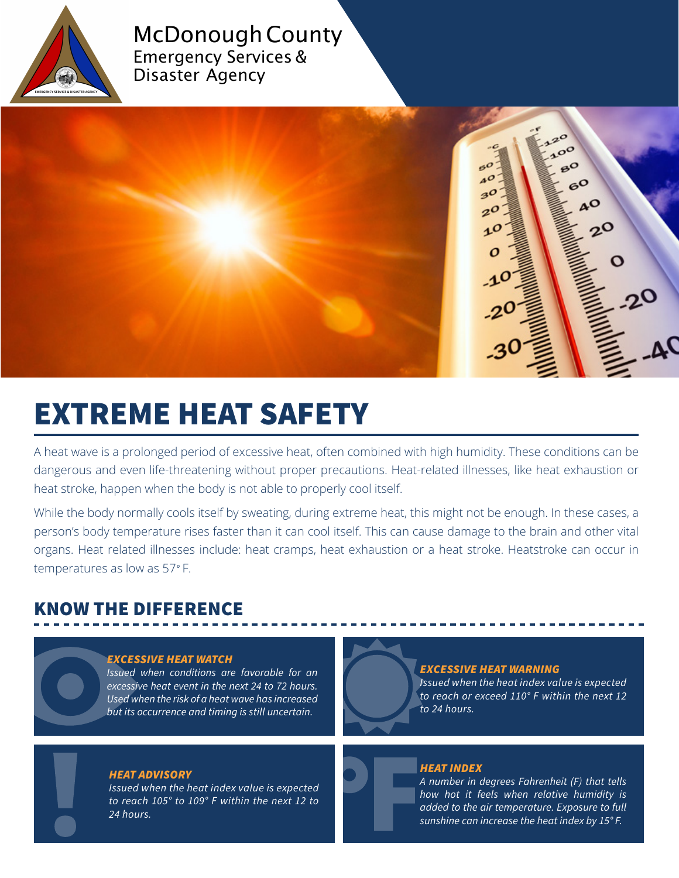

### McDonough County Emergency Services & Disaster Agency



# EXTREME HEAT SAFETY

A heat wave is a prolonged period of excessive heat, often combined with high humidity. These conditions can be dangerous and even life-threatening without proper precautions. Heat-related illnesses, like heat exhaustion or heat stroke, happen when the body is not able to properly cool itself.

While the body normally cools itself by sweating, during extreme heat, this might not be enough. In these cases, a person's body temperature rises faster than it can cool itself. This can cause damage to the brain and other vital organs. Heat related illnesses include: heat cramps, heat exhaustion or a heat stroke. Heatstroke can occur in temperatures as low as 57*°* F.

# KNOW THE DIFFERENCE

### *EXCESSIVE HEAT WATCH*

*Issued when conditions are favorable for an excessive heat event in the next 24 to 72 hours. Used when the risk of a heat wave has increased but its occurrence and timing is still uncertain.* 

### *HEAT ADVISORY*

*Issued when the heat index value is expected to reach 105° to 109° F within the next 12 to 24 hours.*

### *EXCESSIVE HEAT WARNING*

*Issued when the heat index value is expected to reach or exceed 110° F within the next 12 to 24 hours.*

### *HEAT INDEX*

*A number in degrees Fahrenheit (F) that tells how hot it feels when relative humidity is added to the air temperature. Exposure to full sunshine can increase the heat index by 15° F.*